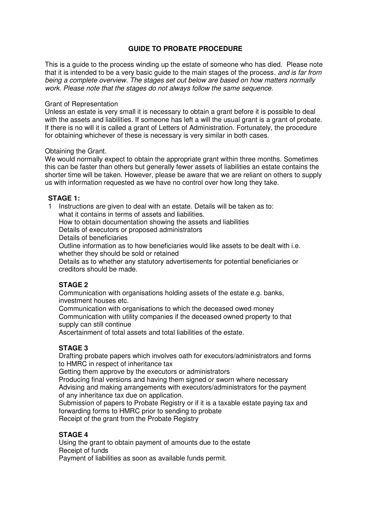## **GUIDE TO PROBATE PROCEDURE**

This is a guide to the process winding up the estate of someone who has died. Please note that it is intended to be a very basic quide to the main stages of the process, and is far from being a complete overview. The stages set out below are based on how matters normally work. Please note that the stages do not always follow the same sequence.

### Grant of Representation

Unless an estate is very small it is necessary to obtain a grant before it is possible to deal with the assets and liabilities. If someone has left a will the usual grant is a grant of probate. If there is no will it is called a grant of Letters of Administration. Fortunately, the procedure for obtaining whichever of these is necessary is very similar in both cases.

### Obtaining the Grant.

We would normally expect to obtain the appropriate grant within three months. Sometimes this can be faster than others but generally fewer assets of liabilities an estate contains the shorter time will be taken. However, please be aware that we are reliant on others to supply us with information requested as we have no control over how long they take.

## **STAGE 1:**

1 Instructions are given to deal with an estate. Details will be taken as to: what it contains in terms of assets and liabilities. How to obtain documentation showing the assets and liabilities Details of executors or proposed administrators Details of beneficiaries Outline information as to how beneficiaries would like assets to be dealt with i.e. whether they should be sold or retained Details as to whether any statutory advertisements for potential beneficiaries or creditors should be made.

# **STAGE 2**

Communication with organisations holding assets of the estate e.g. banks, investment houses etc.

Communication with organisations to which the deceased owed money Communication with utility companies if the deceased owned property to that supply can still continue

Ascertainment of total assets and total liabilities of the estate.

# **STAGE 3**

Drafting probate papers which involves oath for executors/administrators and forms to HMRC in respect of inheritance tax

Getting them approve by the executors or administrators

Producing final versions and having them signed or sworn where necessary Advising and making arrangements with executors/administrators for the payment of any inheritance tax due on application.

Submission of papers to Probate Registry or if it is a taxable estate paying tax and forwarding forms to HMRC prior to sending to probate Receipt of the grant from the Probate Registry

# **STAGE 4**

Using the grant to obtain payment of amounts due to the estate Receipt of funds

Payment of liabilities as soon as available funds permit.